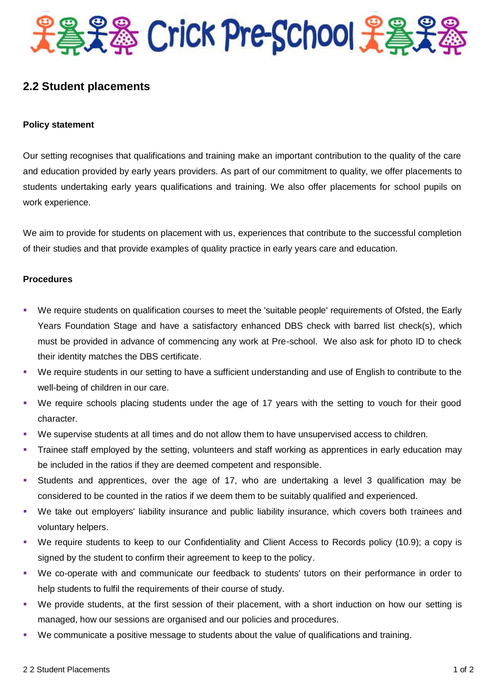

## **2.2 Student placements**

## **Policy statement**

Our setting recognises that qualifications and training make an important contribution to the quality of the care and education provided by early years providers. As part of our commitment to quality, we offer placements to students undertaking early years qualifications and training. We also offer placements for school pupils on work experience.

We aim to provide for students on placement with us, experiences that contribute to the successful completion of their studies and that provide examples of quality practice in early years care and education.

## **Procedures**

- We require students on qualification courses to meet the 'suitable people' requirements of Ofsted, the Early Years Foundation Stage and have a satisfactory enhanced DBS check with barred list check(s), which must be provided in advance of commencing any work at Pre-school. We also ask for photo ID to check their identity matches the DBS certificate.
- We require students in our setting to have a sufficient understanding and use of English to contribute to the well-being of children in our care.
- We require schools placing students under the age of 17 years with the setting to vouch for their good character.
- We supervise students at all times and do not allow them to have unsupervised access to children.
- Trainee staff employed by the setting, volunteers and staff working as apprentices in early education may be included in the ratios if they are deemed competent and responsible.
- Students and apprentices, over the age of 17, who are undertaking a level 3 qualification may be considered to be counted in the ratios if we deem them to be suitably qualified and experienced.
- We take out employers' liability insurance and public liability insurance, which covers both trainees and voluntary helpers.
- We require students to keep to our Confidentiality and Client Access to Records policy (10.9); a copy is signed by the student to confirm their agreement to keep to the policy.
- We co-operate with and communicate our feedback to students' tutors on their performance in order to help students to fulfil the requirements of their course of study.
- We provide students, at the first session of their placement, with a short induction on how our setting is managed, how our sessions are organised and our policies and procedures.
- We communicate a positive message to students about the value of qualifications and training.